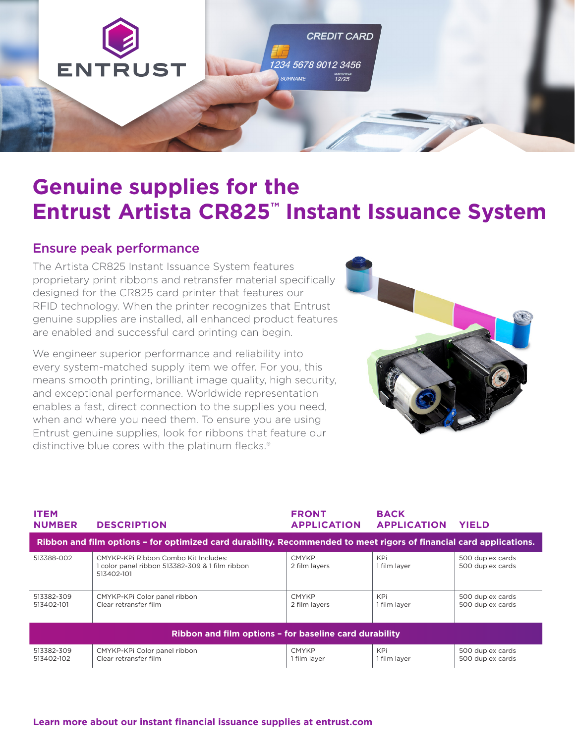

# **Genuine supplies for the Entrust Artista CR825™ Instant Issuance System**

### Ensure peak performance

The Artista CR825 Instant Issuance System features proprietary print ribbons and retransfer material specifically designed for the CR825 card printer that features our RFID technology. When the printer recognizes that Entrust genuine supplies are installed, all enhanced product features are enabled and successful card printing can begin.

We engineer superior performance and reliability into every system-matched supply item we offer. For you, this means smooth printing, brilliant image quality, high security, and exceptional performance. Worldwide representation enables a fast, direct connection to the supplies you need, when and where you need them. To ensure you are using Entrust genuine supplies, look for ribbons that feature our distinctive blue cores with the platinum flecks.®



| <b>ITEM</b><br><b>NUMBER</b>                                                                                        | <b>DESCRIPTION</b>                                                                                    | <b>FRONT</b><br><b>APPLICATION</b> | <b>BACK</b><br><b>APPLICATION</b> | <b>YIELD</b>                         |  |
|---------------------------------------------------------------------------------------------------------------------|-------------------------------------------------------------------------------------------------------|------------------------------------|-----------------------------------|--------------------------------------|--|
| Ribbon and film options - for optimized card durability. Recommended to meet rigors of financial card applications. |                                                                                                       |                                    |                                   |                                      |  |
| 513388-002                                                                                                          | CMYKP-KPi Ribbon Combo Kit Includes:<br>1 color panel ribbon 513382-309 & 1 film ribbon<br>513402-101 | <b>CMYKP</b><br>2 film lavers      | KPi<br>1 film laver               | 500 duplex cards<br>500 duplex cards |  |
| 513382-309<br>513402-101                                                                                            | CMYKP-KPi Color panel ribbon<br>Clear retransfer film                                                 | <b>CMYKP</b><br>2 film lavers      | KPi<br>1 film laver               | 500 duplex cards<br>500 duplex cards |  |
| Ribbon and film options - for baseline card durability                                                              |                                                                                                       |                                    |                                   |                                      |  |
| 513382-309<br>513402-102                                                                                            | CMYKP-KPi Color panel ribbon<br>Clear retransfer film                                                 | <b>CMYKP</b><br>1 film layer       | KPi<br>1 film layer               | 500 duplex cards<br>500 duplex cards |  |

### **[Learn more about our instant financial issuance supplies at entrust.com](http://Learn more about our instant financial issuance supplies at entrust.com)**